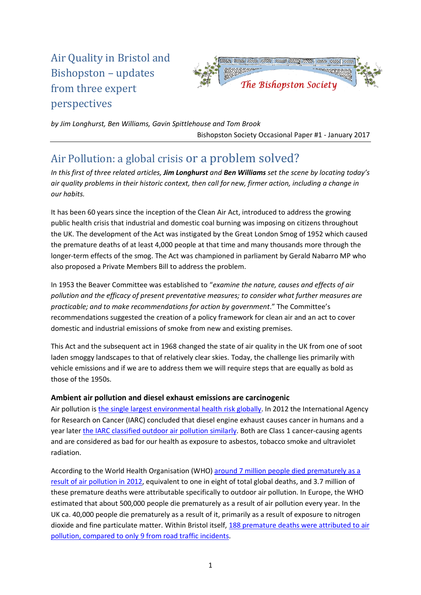# Air Quality in Bristol and Bishopston – updates from three expert perspectives



*by Jim Longhurst, Ben Williams, Gavin Spittlehouse and Tom Brook* Bishopston Society Occasional Paper #1 - January 2017

## Air Pollution: a global crisis or a problem solved?

*In this first of three related articles, Jim Longhurst and Ben Williams set the scene by locating today's air quality problems in their historic context, then call for new, firmer action, including a change in our habits.*

It has been 60 years since the inception of the Clean Air Act, introduced to address the growing public health crisis that industrial and domestic coal burning was imposing on citizens throughout the UK. The development of the Act was instigated by the Great London Smog of 1952 which caused the premature deaths of at least 4,000 people at that time and many thousands more through the longer-term effects of the smog. The Act was championed in parliament by Gerald Nabarro MP who also proposed a Private Members Bill to address the problem.

In 1953 the Beaver Committee was established to "*examine the nature, causes and effects of air pollution and the efficacy of present preventative measures; to consider what further measures are practicable; and to make recommendations for action by government*." The Committee's recommendations suggested the creation of a policy framework for clean air and an act to cover domestic and industrial emissions of smoke from new and existing premises.

This Act and the subsequent act in 1968 changed the state of air quality in the UK from one of soot laden smoggy landscapes to that of relatively clear skies. Today, the challenge lies primarily with vehicle emissions and if we are to address them we will require steps that are equally as bold as those of the 1950s.

#### **Ambient air pollution and diesel exhaust emissions are carcinogenic**

Air pollution is [the single largest environmental health risk globally.](https://www.theguardian.com/environment/2014/mar/25/air-pollution-single-biggest-environmental-health-risk-who) In 2012 the International Agency for Research on Cancer (IARC) concluded that diesel engine exhaust causes cancer in humans and a year later [the IARC classified outdoor air pollution similarly.](https://www.iarc.fr/en/media-centre/pr/2012/pdfs/pr213_E.pdf) Both are Class 1 cancer-causing agents and are considered as bad for our health as exposure to asbestos, tobacco smoke and ultraviolet radiation.

According to the World Health Organisation (WHO) [around 7 million people died](http://www.who.int/mediacentre/news/releases/2014/air-pollution/en/) prematurely as a [result of air pollution in 2012,](http://www.who.int/mediacentre/news/releases/2014/air-pollution/en/) equivalent to one in eight of total global deaths, and 3.7 million of these premature deaths were attributable specifically to outdoor air pollution. In Europe, the WHO estimated that about 500,000 people die prematurely as a result of air pollution every year. In the UK ca. 40,000 people die prematurely as a result of it, primarily as a result of exposure to nitrogen dioxide and fine particulate matter. Within Bristol itself, 188 premature deaths were attributed to air pollution, compared to only [9 from road traffic incidents.](https://www.phe-events.org.uk/HPA/media/uploaded/EVHPA/event_321/04%20Clare%20Beattie.pdf)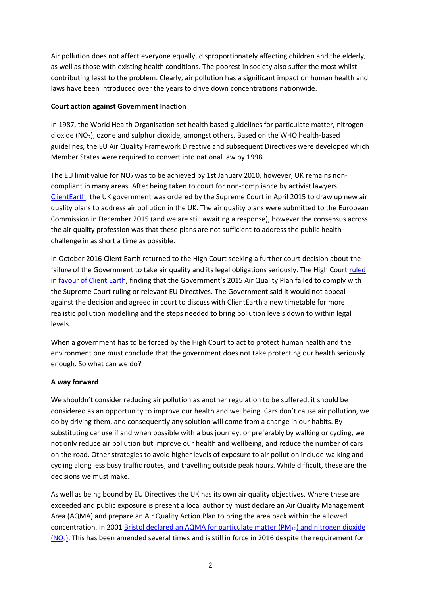Air pollution does not affect everyone equally, disproportionately affecting children and the elderly, as well as those with existing health conditions. The poorest in society also suffer the most whilst contributing least to the problem. Clearly, air pollution has a significant impact on human health and laws have been introduced over the years to drive down concentrations nationwide.

#### **Court action against Government Inaction**

In 1987, the World Health Organisation set health based guidelines for particulate matter, nitrogen dioxide (NO<sub>2</sub>), ozone and sulphur dioxide, amongst others. Based on the WHO health-based guidelines, the EU Air Quality Framework Directive and subsequent Directives were developed which Member States were required to convert into national law by 1998.

The EU limit value for  $NO<sub>2</sub>$  was to be achieved by 1st January 2010, however, UK remains noncompliant in many areas. After being taken to court for non-compliance by activist lawyers [ClientEarth,](http://www.clientearth.org/) the UK government was ordered by the Supreme Court in April 2015 to draw up new air quality plans to address air pollution in the UK. The air quality plans were submitted to the European Commission in December 2015 (and we are still awaiting a response), however the consensus across the air quality profession was that these plans are not sufficient to address the public health challenge in as short a time as possible.

In October 2016 Client Earth returned to the High Court seeking a further court decision about the failure of the Government to take air quality and its legal obligations seriously. The High Court [ruled](http://www.clientearth.org/major-victory-health-uk-high-court-government-inaction-air-pollution/)  [in favour of Client Earth,](http://www.clientearth.org/major-victory-health-uk-high-court-government-inaction-air-pollution/) finding that the Government's 2015 Air Quality Plan failed to comply with the Supreme Court ruling or relevant EU Directives. The Government said it would not appeal against the decision and agreed in court to discuss with ClientEarth a new timetable for more realistic pollution modelling and the steps needed to bring pollution levels down to within legal levels.

When a government has to be forced by the High Court to act to protect human health and the environment one must conclude that the government does not take protecting our health seriously enough. So what can we do?

#### **A way forward**

We shouldn't consider reducing air pollution as another regulation to be suffered, it should be considered as an opportunity to improve our health and wellbeing. Cars don't cause air pollution, we do by driving them, and consequently any solution will come from a change in our habits. By substituting car use if and when possible with a bus journey, or preferably by walking or cycling, we not only reduce air pollution but improve our health and wellbeing, and reduce the number of cars on the road. Other strategies to avoid higher levels of exposure to air pollution include walking and cycling along less busy traffic routes, and travelling outside peak hours. While difficult, these are the decisions we must make.

As well as being bound by EU Directives the UK has its own air quality objectives. Where these are exceeded and public exposure is present a local authority must declare an Air Quality Management Area (AQMA) and prepare an Air Quality Action Plan to bring the area back within the allowed concentration. In 2001 [Bristol declared an AQMA for particulate matter \(PM](https://uk-air.defra.gov.uk/aqma/details?aqma_id=757)<sub>10</sub>) and nitrogen dioxide  $(NO<sub>2</sub>)$  $(NO<sub>2</sub>)$ . This has been amended several times and is still in force in 2016 despite the requirement for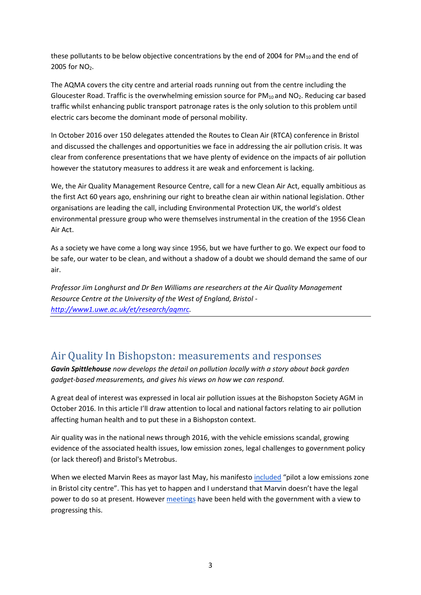these pollutants to be below objective concentrations by the end of 2004 for  $PM_{10}$  and the end of 2005 for  $NO<sub>2</sub>$ .

The AQMA covers the city centre and arterial roads running out from the centre including the Gloucester Road. Traffic is the overwhelming emission source for  $PM_{10}$  and  $NO<sub>2</sub>$ . Reducing car based traffic whilst enhancing public transport patronage rates is the only solution to this problem until electric cars become the dominant mode of personal mobility.

In October 2016 over 150 delegates attended the Routes to Clean Air (RTCA) conference in Bristol and discussed the challenges and opportunities we face in addressing the air pollution crisis. It was clear from conference presentations that we have plenty of evidence on the impacts of air pollution however the statutory measures to address it are weak and enforcement is lacking.

We, the Air Quality Management Resource Centre, call for a new Clean Air Act, equally ambitious as the first Act 60 years ago, enshrining our right to breathe clean air within national legislation. Other organisations are leading the call, including Environmental Protection UK, the world's oldest environmental pressure group who were themselves instrumental in the creation of the 1956 Clean Air Act.

As a society we have come a long way since 1956, but we have further to go. We expect our food to be safe, our water to be clean, and without a shadow of a doubt we should demand the same of our air.

*Professor Jim Longhurst and Dr Ben Williams are researchers at the Air Quality Management Resource Centre at the University of the West of England, Bristol [http://www1.uwe.ac.uk/et/research/aqmrc.](http://www1.uwe.ac.uk/et/research/aqmrc)*

## Air Quality In Bishopston: measurements and responses

*Gavin Spittlehouse now develops the detail on pollution locally with a story about back garden gadget-based measurements, and gives his views on how we can respond.*

A great deal of interest was expressed in local air pollution issues at the Bishopston Society AGM in October 2016. In this article I'll draw attention to local and national factors relating to air pollution affecting human health and to put these in a Bishopston context.

Air quality was in the national news through 2016, with the vehicle emissions scandal, growing evidence of the associated health issues, low emission zones, legal challenges to government policy (or lack thereof) and Bristol's Metrobus.

When we elected Marvin Rees as mayor last May, his manifesto [included](http://www.bristol247.com/channel/news-comment/daily/politics/rees-accused-of-u-turn-over-low-emissions-zone) "pilot a low emissions zone in Bristol city centre". This has yet to happen and I understand that Marvin doesn't have the legal power to do so at present. Howeve[r meetings](http://www.bristolpost.co.uk/bristol-politicians-to-meet-with-minister-in-bid-to-tackle-invisible-killer-air-pollution/story-29869390-detail/story.html) have been held with the government with a view to progressing this.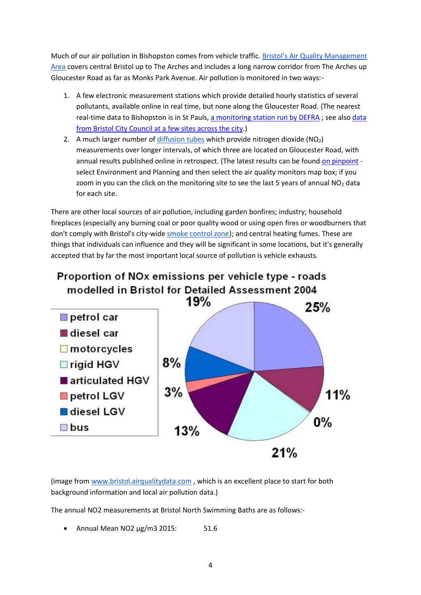Much of our air pollution in Bishopston comes from vehicle traffic. [Bristol's Air Quality Management](https://www.bristol.gov.uk/documents/20182/32675/AQMA+2012.pdf/5bdfcc69-6966-471f-9405-e3fdee624ebf)  [Area](https://www.bristol.gov.uk/documents/20182/32675/AQMA+2012.pdf/5bdfcc69-6966-471f-9405-e3fdee624ebf) covers central Bristol up to The Arches and includes a long narrow corridor from The Arches up Gloucester Road as far as Monks Park Avenue. Air pollution is monitored in two ways:-

- 1. A few electronic measurement stations which provide detailed hourly statistics of several pollutants, available online in real time, but none along the Gloucester Road. (The nearest real-time data to Bishopston is in St Pauls, [a monitoring station run by DEFRA](https://uk-air.defra.gov.uk/networks/site-info?uka_id=UKA00494); see also data [from Bristol City Council at a few sites across the city.](http://www.bristol.airqualitydata.com/))
- 2. A much larger number of [diffusion tubes](http://laqm.defra.gov.uk/diffusion-tubes/diffusion-tubes.html) which provide nitrogen dioxide  $(NO<sub>2</sub>)$ measurements over longer intervals, of which three are located on Gloucester Road, with annual results published online in retrospect. (The latest results can be found [on pinpoint](http://maps.bristol.gov.uk/pinpoint/) select Environment and Planning and then select the air quality monitors map box; if you zoom in you can the click on the monitoring site to see the last 5 years of annual  $NO<sub>2</sub>$  data for each site.

There are other local sources of air pollution, including garden bonfires; industry; household fireplaces (especially any burning coal or poor quality wood or using open fires or woodburners that don't comply with Bristol's city-wide [smoke control zone\)](https://www.bristol.gov.uk/pests-pollution-noise-food/smoke-control-areas); and central heating fumes. These are things that individuals can influence and they will be significant in some locations, but it's generally accepted that by far the most important local source of pollution is vehicle exhausts.



(image from [www.bristol.airqualitydata.com](http://www.bristol.airqualitydata.com/) , which is an excellent place to start for both background information and local air pollution data.)

The annual NO2 measurements at Bristol North Swimming Baths are as follows:-

• Annual Mean NO2 μg/m3 2015: 51.6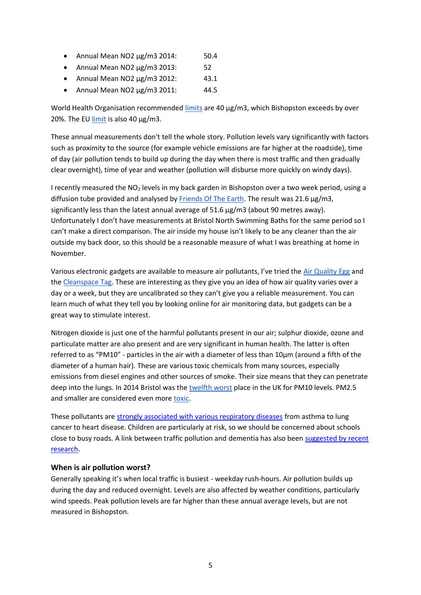- Annual Mean NO2  $\mu$ g/m3 2014: 50.4
- Annual Mean NO2 μg/m3 2013: 52
- Annual Mean NO2  $\mu$ g/m3 2012: 43.1
- Annual Mean NO2 μg/m3 2011: 44.5

World Health Organisation recommended [limits](http://www.who.int/mediacentre/factsheets/fs313/en/) are 40 μg/m3, which Bishopston exceeds by over 20%. The EU  $\frac{limit}{}$  is also 40  $\mu$ g/m3.

These annual measurements don't tell the whole story. Pollution levels vary significantly with factors such as proximity to the source (for example vehicle emissions are far higher at the roadside), time of day (air pollution tends to build up during the day when there is most traffic and then gradually clear overnight), time of year and weather (pollution will disburse more quickly on windy days).

I recently measured the NO<sup>2</sup> levels in my back garden in Bishopston over a two week period, using a diffusion tube provided and analysed b[y Friends Of The Earth.](https://www.foe.co.uk/page/clean-air-kit-register-your-interest) The result was 21.6 µg/m3, significantly less than the latest annual average of  $51.6 \mu g/m3$  (about 90 metres away). Unfortunately I don't have measurements at Bristol North Swimming Baths for the same period so I can't make a direct comparison. The air inside my house isn't likely to be any cleaner than the air outside my back door, so this should be a reasonable measure of what I was breathing at home in November.

Various electronic gadgets are available to measure air pollutants, I've tried the [Air Quality Egg](http://airqualityegg.com/) and th[e Cleanspace Tag.](https://store.clean.space/) These are interesting as they give you an idea of how air quality varies over a day or a week, but they are uncalibrated so they can't give you a reliable measurement. You can learn much of what they tell you by looking online for air monitoring data, but gadgets can be a great way to stimulate interest.

Nitrogen dioxide is just one of the harmful pollutants present in our air; sulphur dioxide, ozone and particulate matter are also present and are very significant in human health. The latter is often referred to as "PM10" - particles in the air with a diameter of less than 10μm (around a fifth of the diameter of a human hair). These are various toxic chemicals from many sources, especially emissions from diesel engines and other sources of smoke. Their size means that they can penetrate deep into the lungs. In 2014 Bristol was the [twelfth worst](https://www.theguardian.com/environment/2014/may/07/who-names-uk-cities-breaching-safe-air-pollution-levels) place in the UK for PM10 levels. PM2.5 and smaller are considered even more [toxic.](http://laqm.defra.gov.uk/public-health/pm25.html)

These pollutants are [strongly associated with various respiratory diseases](http://www.who.int/mediacentre/factsheets/fs313/en/) from asthma to lung cancer to heart disease. Children are particularly at risk, so we should be concerned about schools close to busy roads. A link between traffic pollution and dementia has also bee[n suggested by recent](https://www.theguardian.com/society/2017/jan/04/living-near-heavy-traffic-increases-dementia-risk-say-scientists)  [research.](https://www.theguardian.com/society/2017/jan/04/living-near-heavy-traffic-increases-dementia-risk-say-scientists)

#### **When is air pollution worst?**

Generally speaking it's when local traffic is busiest - weekday rush-hours. Air pollution builds up during the day and reduced overnight. Levels are also affected by weather conditions, particularly wind speeds. Peak pollution levels are far higher than these annual average levels, but are not measured in Bishopston.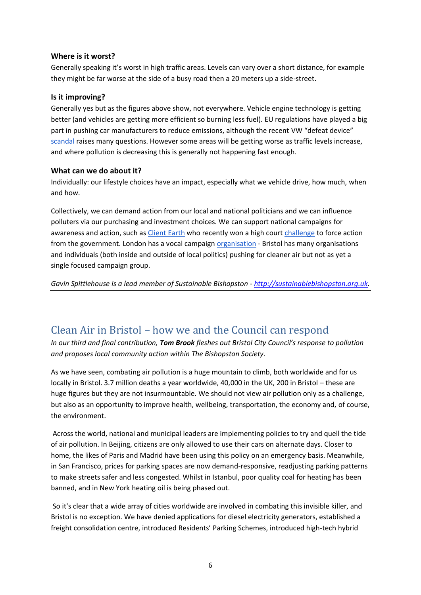#### **Where is it worst?**

Generally speaking it's worst in high traffic areas. Levels can vary over a short distance, for example they might be far worse at the side of a busy road then a 20 meters up a side-street.

#### **Is it improving?**

Generally yes but as the figures above show, not everywhere. Vehicle engine technology is getting better (and vehicles are getting more efficient so burning less fuel). EU regulations have played a big part in pushing car manufacturers to reduce emissions, although the recent VW "defeat device" [scandal](http://www.roadandtrack.com/new-cars/car-technology/a29293/vehicle-emissions-testing-scandal-cheating/) raises many questions. However some areas will be getting worse as traffic levels increase, and where pollution is decreasing this is generally not happening fast enough.

#### **What can we do about it?**

Individually: our lifestyle choices have an impact, especially what we vehicle drive, how much, when and how.

Collectively, we can demand action from our local and national politicians and we can influence polluters via our purchasing and investment choices. We can support national campaigns for awareness and action, such as [Client Earth](http://www.clientearth.org/) who recently won a high cour[t challenge](https://www.theguardian.com/environment/2016/nov/21/high-court-ministers-deadline-air-quality-pollution-plan?utm_source=esp&utm_medium=Email&utm_campaign=Green+Light+2016&utm_term=201511&subid=4845007&CMP=EMCENVEML1631) to force action from the government. London has a vocal campaign [organisation](http://cleanair.london/) - Bristol has many organisations and individuals (both inside and outside of local politics) pushing for cleaner air but not as yet a single focused campaign group.

*Gavin Spittlehouse is a lead member of Sustainable Bishopston - [http://sustainablebishopston.org.uk.](http://sustainablebishopston.org.uk/)*

## Clean Air in Bristol – how we and the Council can respond

*In our third and final contribution, Tom Brook fleshes out Bristol City Council's response to pollution and proposes local community action within The Bishopston Society.*

As we have seen, combating air pollution is a huge mountain to climb, both worldwide and for us locally in Bristol. 3.7 million deaths a year worldwide, 40,000 in the UK, 200 in Bristol – these are huge figures but they are not insurmountable. We should not view air pollution only as a challenge, but also as an opportunity to improve health, wellbeing, transportation, the economy and, of course, the environment.

Across the world, national and municipal leaders are implementing policies to try and quell the tide of air pollution. In Beijing, citizens are only allowed to use their cars on alternate days. Closer to home, the likes of Paris and Madrid have been using this policy on an emergency basis. Meanwhile, in San Francisco, prices for parking spaces are now demand-responsive, readjusting parking patterns to make streets safer and less congested. Whilst in Istanbul, poor quality coal for heating has been banned, and in New York heating oil is being phased out.

So it's clear that a wide array of cities worldwide are involved in combating this invisible killer, and Bristol is no exception. We have denied applications for diesel electricity generators, established a freight consolidation centre, introduced Residents' Parking Schemes, introduced high-tech hybrid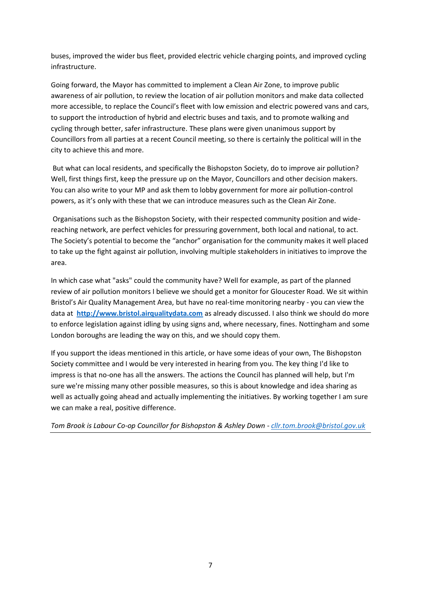buses, improved the wider bus fleet, provided electric vehicle charging points, and improved cycling infrastructure.

Going forward, the Mayor has committed to implement a Clean Air Zone, to improve public awareness of air pollution, to review the location of air pollution monitors and make data collected more accessible, to replace the Council's fleet with low emission and electric powered vans and cars, to support the introduction of hybrid and electric buses and taxis, and to promote walking and cycling through better, safer infrastructure. These plans were given unanimous support by Councillors from all parties at a recent Council meeting, so there is certainly the political will in the city to achieve this and more.

But what can local residents, and specifically the Bishopston Society, do to improve air pollution? Well, first things first, keep the pressure up on the Mayor, Councillors and other decision makers. You can also write to your MP and ask them to lobby government for more air pollution-control powers, as it's only with these that we can introduce measures such as the Clean Air Zone.

Organisations such as the Bishopston Society, with their respected community position and widereaching network, are perfect vehicles for pressuring government, both local and national, to act. The Society's potential to become the "anchor" organisation for the community makes it well placed to take up the fight against air pollution, involving multiple stakeholders in initiatives to improve the area.

In which case what "asks" could the community have? Well for example, as part of the planned review of air pollution monitors I believe we should get a monitor for Gloucester Road. We sit within Bristol's Air Quality Management Area, but have no real-time monitoring nearby - you can view the data at **[http://www.bristol.airqualitydata.com](http://www.bristol.airqualitydata.com/)** as already discussed. I also think we should do more to enforce legislation against idling by using signs and, where necessary, fines. Nottingham and some London boroughs are leading the way on this, and we should copy them.

If you support the ideas mentioned in this article, or have some ideas of your own, The Bishopston Society committee and I would be very interested in hearing from you. The key thing I'd like to impress is that no-one has all the answers. The actions the Council has planned will help, but I'm sure we're missing many other possible measures, so this is about knowledge and idea sharing as well as actually going ahead and actually implementing the initiatives. By working together I am sure we can make a real, positive difference.

*Tom Brook is Labour Co-op Councillor for Bishopston & Ashley Down - [cllr.tom.brook@bristol.gov.uk](mailto:cllr.tom.brook@bristol.gov.uk)*